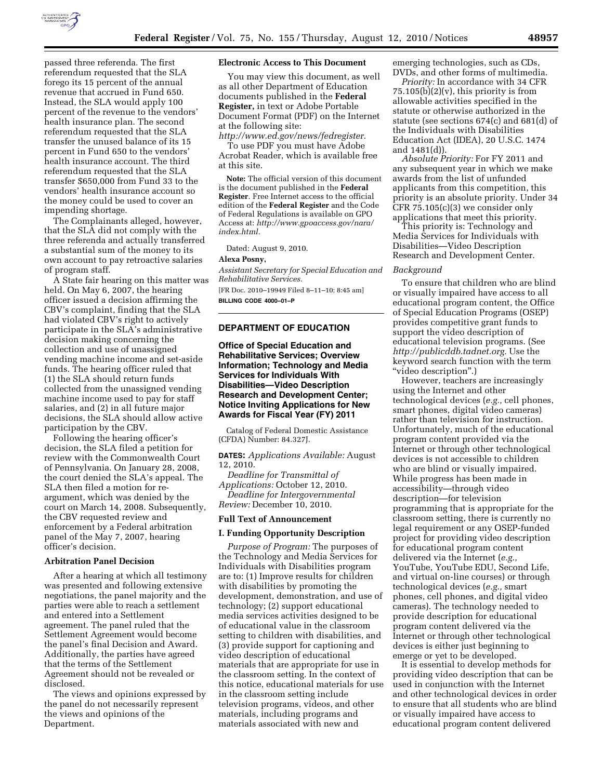

passed three referenda. The first referendum requested that the SLA forego its 15 percent of the annual revenue that accrued in Fund 650. Instead, the SLA would apply 100 percent of the revenue to the vendors' health insurance plan. The second referendum requested that the SLA transfer the unused balance of its 15 percent in Fund 650 to the vendors' health insurance account. The third referendum requested that the SLA transfer \$650,000 from Fund 33 to the vendors' health insurance account so the money could be used to cover an impending shortage.

The Complainants alleged, however, that the SLA did not comply with the three referenda and actually transferred a substantial sum of the money to its own account to pay retroactive salaries of program staff.

A State fair hearing on this matter was held. On May 6, 2007, the hearing officer issued a decision affirming the CBV's complaint, finding that the SLA had violated CBV's right to actively participate in the SLA's administrative decision making concerning the collection and use of unassigned vending machine income and set-aside funds. The hearing officer ruled that (1) the SLA should return funds collected from the unassigned vending machine income used to pay for staff salaries, and (2) in all future major decisions, the SLA should allow active participation by the CBV.

Following the hearing officer's decision, the SLA filed a petition for review with the Commonwealth Court of Pennsylvania. On January 28, 2008, the court denied the SLA's appeal. The SLA then filed a motion for reargument, which was denied by the court on March 14, 2008. Subsequently, the CBV requested review and enforcement by a Federal arbitration panel of the May 7, 2007, hearing officer's decision.

## **Arbitration Panel Decision**

After a hearing at which all testimony was presented and following extensive negotiations, the panel majority and the parties were able to reach a settlement and entered into a Settlement agreement. The panel ruled that the Settlement Agreement would become the panel's final Decision and Award. Additionally, the parties have agreed that the terms of the Settlement Agreement should not be revealed or disclosed.

The views and opinions expressed by the panel do not necessarily represent the views and opinions of the Department.

### **Electronic Access to This Document**

You may view this document, as well as all other Department of Education documents published in the **Federal Register,** in text or Adobe Portable Document Format (PDF) on the Internet at the following site:

*[http://www.ed.gov/news/fedregister.](http://www.ed.gov/news/fedregister)* 

To use PDF you must have Adobe Acrobat Reader, which is available free at this site.

**Note:** The official version of this document is the document published in the **Federal Register**. Free Internet access to the official edition of the **Federal Register** and the Code of Federal Regulations is available on GPO Access at: *[http://www.gpoaccess.gov/nara/](http://www.gpoaccess.gov/nara/index.html) [index.html.](http://www.gpoaccess.gov/nara/index.html)* 

Dated: August 9, 2010.

#### **Alexa Posny,**

*Assistant Secretary for Special Education and Rehabilitative Services.*  [FR Doc. 2010–19949 Filed 8–11–10; 8:45 am]

**BILLING CODE 4000–01–P** 

### **DEPARTMENT OF EDUCATION**

## **Office of Special Education and Rehabilitative Services; Overview Information; Technology and Media Services for Individuals With Disabilities—Video Description Research and Development Center; Notice Inviting Applications for New Awards for Fiscal Year (FY) 2011**

Catalog of Federal Domestic Assistance (CFDA) Number: 84.327J.

**DATES:** *Applications Available:* August 12, 2010.

*Deadline for Transmittal of Applications:* October 12, 2010. *Deadline for Intergovernmental Review:* December 10, 2010.

#### **Full Text of Announcement**

### **I. Funding Opportunity Description**

*Purpose of Program:* The purposes of the Technology and Media Services for Individuals with Disabilities program are to: (1) Improve results for children with disabilities by promoting the development, demonstration, and use of technology; (2) support educational media services activities designed to be of educational value in the classroom setting to children with disabilities, and (3) provide support for captioning and video description of educational materials that are appropriate for use in the classroom setting. In the context of this notice, educational materials for use in the classroom setting include television programs, videos, and other materials, including programs and materials associated with new and

emerging technologies, such as CDs, DVDs, and other forms of multimedia.

*Priority:* In accordance with 34 CFR  $75.105(b)(2)(v)$ , this priority is from allowable activities specified in the statute or otherwise authorized in the statute (see sections 674(c) and 681(d) of the Individuals with Disabilities Education Act (IDEA), 20 U.S.C. 1474 and 1481(d)).

*Absolute Priority:* For FY 2011 and any subsequent year in which we make awards from the list of unfunded applicants from this competition, this priority is an absolute priority. Under 34 CFR 75.105(c)(3) we consider only applications that meet this priority.

This priority is: Technology and Media Services for Individuals with Disabilities—Video Description Research and Development Center.

#### *Background*

To ensure that children who are blind or visually impaired have access to all educational program content, the Office of Special Education Programs (OSEP) provides competitive grant funds to support the video description of educational television programs. (See *[http://publicddb.tadnet.org.](http://publicddb.tadnet.org)* Use the keyword search function with the term ''video description''.)

However, teachers are increasingly using the Internet and other technological devices (*e.g.,* cell phones, smart phones, digital video cameras) rather than television for instruction. Unfortunately, much of the educational program content provided via the Internet or through other technological devices is not accessible to children who are blind or visually impaired. While progress has been made in accessibility—through video description—for television programming that is appropriate for the classroom setting, there is currently no legal requirement or any OSEP-funded project for providing video description for educational program content delivered via the Internet (*e.g.,*  YouTube, YouTube EDU, Second Life, and virtual on-line courses) or through technological devices (*e.g.,* smart phones, cell phones, and digital video cameras). The technology needed to provide description for educational program content delivered via the Internet or through other technological devices is either just beginning to emerge or yet to be developed.

It is essential to develop methods for providing video description that can be used in conjunction with the Internet and other technological devices in order to ensure that all students who are blind or visually impaired have access to educational program content delivered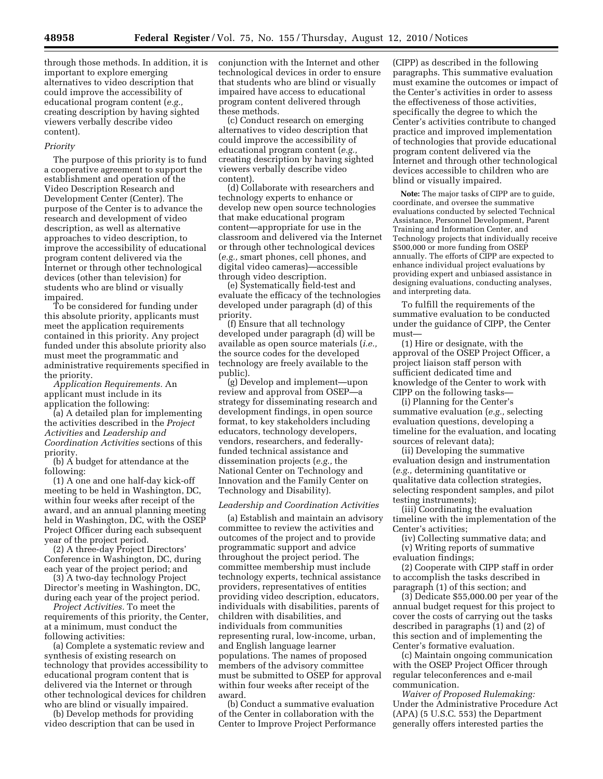through those methods. In addition, it is important to explore emerging alternatives to video description that could improve the accessibility of educational program content (*e.g.,*  creating description by having sighted viewers verbally describe video content).

#### *Priority*

The purpose of this priority is to fund a cooperative agreement to support the establishment and operation of the Video Description Research and Development Center (Center). The purpose of the Center is to advance the research and development of video description, as well as alternative approaches to video description, to improve the accessibility of educational program content delivered via the Internet or through other technological devices (other than television) for students who are blind or visually impaired.

To be considered for funding under this absolute priority, applicants must meet the application requirements contained in this priority. Any project funded under this absolute priority also must meet the programmatic and administrative requirements specified in the priority.

*Application Requirements.* An applicant must include in its application the following:

(a) A detailed plan for implementing the activities described in the *Project Activities* and *Leadership and Coordination Activities* sections of this priority.

(b) A budget for attendance at the following:

(1) A one and one half-day kick-off meeting to be held in Washington, DC, within four weeks after receipt of the award, and an annual planning meeting held in Washington, DC, with the OSEP Project Officer during each subsequent year of the project period.

(2) A three-day Project Directors' Conference in Washington, DC, during each year of the project period; and

(3) A two-day technology Project Director's meeting in Washington, DC, during each year of the project period.

*Project Activities.* To meet the requirements of this priority, the Center, at a minimum, must conduct the following activities:

(a) Complete a systematic review and synthesis of existing research on technology that provides accessibility to educational program content that is delivered via the Internet or through other technological devices for children who are blind or visually impaired.

(b) Develop methods for providing video description that can be used in conjunction with the Internet and other technological devices in order to ensure that students who are blind or visually impaired have access to educational program content delivered through these methods.

(c) Conduct research on emerging alternatives to video description that could improve the accessibility of educational program content (*e.g.,*  creating description by having sighted viewers verbally describe video content).

(d) Collaborate with researchers and technology experts to enhance or develop new open source technologies that make educational program content—appropriate for use in the classroom and delivered via the Internet or through other technological devices (*e.g.,* smart phones, cell phones, and digital video cameras)—accessible through video description.

(e) Systematically field-test and evaluate the efficacy of the technologies developed under paragraph (d) of this priority.

(f) Ensure that all technology developed under paragraph (d) will be available as open source materials (*i.e.,*  the source codes for the developed technology are freely available to the public).

(g) Develop and implement—upon review and approval from OSEP—a strategy for disseminating research and development findings, in open source format, to key stakeholders including educators, technology developers, vendors, researchers, and federallyfunded technical assistance and dissemination projects (*e.g.,* the National Center on Technology and Innovation and the Family Center on Technology and Disability).

#### *Leadership and Coordination Activities*

(a) Establish and maintain an advisory committee to review the activities and outcomes of the project and to provide programmatic support and advice throughout the project period. The committee membership must include technology experts, technical assistance providers, representatives of entities providing video description, educators, individuals with disabilities, parents of children with disabilities, and individuals from communities representing rural, low-income, urban, and English language learner populations. The names of proposed members of the advisory committee must be submitted to OSEP for approval within four weeks after receipt of the award.

(b) Conduct a summative evaluation of the Center in collaboration with the Center to Improve Project Performance

(CIPP) as described in the following paragraphs. This summative evaluation must examine the outcomes or impact of the Center's activities in order to assess the effectiveness of those activities, specifically the degree to which the Center's activities contribute to changed practice and improved implementation of technologies that provide educational program content delivered via the Internet and through other technological devices accessible to children who are blind or visually impaired.

**Note:** The major tasks of CIPP are to guide, coordinate, and oversee the summative evaluations conducted by selected Technical Assistance, Personnel Development, Parent Training and Information Center, and Technology projects that individually receive \$500,000 or more funding from OSEP annually. The efforts of CIPP are expected to enhance individual project evaluations by providing expert and unbiased assistance in designing evaluations, conducting analyses, and interpreting data.

To fulfill the requirements of the summative evaluation to be conducted under the guidance of CIPP, the Center must—

(1) Hire or designate, with the approval of the OSEP Project Officer, a project liaison staff person with sufficient dedicated time and knowledge of the Center to work with CIPP on the following tasks—

(i) Planning for the Center's summative evaluation (*e.g.,* selecting evaluation questions, developing a timeline for the evaluation, and locating sources of relevant data);

(ii) Developing the summative evaluation design and instrumentation (*e.g.,* determining quantitative or qualitative data collection strategies, selecting respondent samples, and pilot testing instruments);

(iii) Coordinating the evaluation timeline with the implementation of the Center's activities;

(iv) Collecting summative data; and (v) Writing reports of summative evaluation findings;

(2) Cooperate with CIPP staff in order to accomplish the tasks described in paragraph (1) of this section; and

(3) Dedicate \$55,000.00 per year of the annual budget request for this project to cover the costs of carrying out the tasks described in paragraphs (1) and (2) of this section and of implementing the Center's formative evaluation.

(c) Maintain ongoing communication with the OSEP Project Officer through regular teleconferences and e-mail communication.

*Waiver of Proposed Rulemaking:*  Under the Administrative Procedure Act (APA) (5 U.S.C. 553) the Department generally offers interested parties the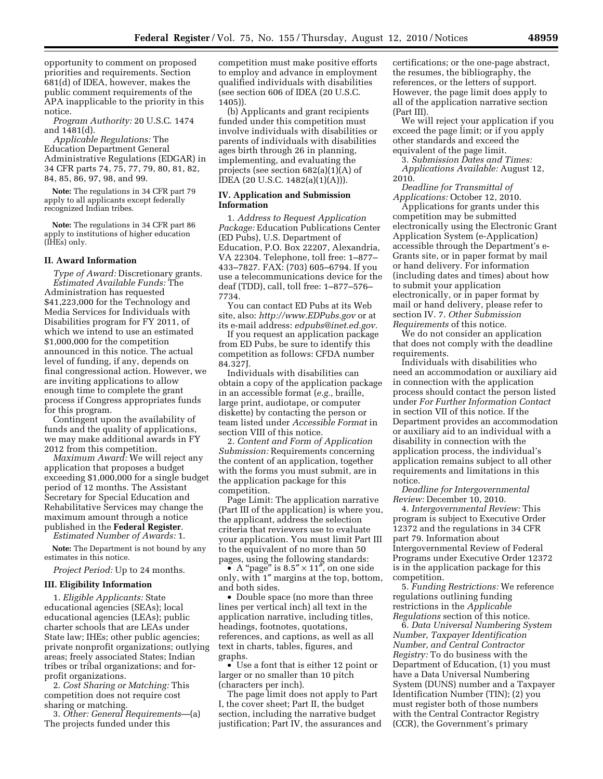opportunity to comment on proposed priorities and requirements. Section 681(d) of IDEA, however, makes the public comment requirements of the APA inapplicable to the priority in this notice.

*Program Authority:* 20 U.S.C. 1474 and 1481(d).

*Applicable Regulations:* The Education Department General Administrative Regulations (EDGAR) in 34 CFR parts 74, 75, 77, 79, 80, 81, 82, 84, 85, 86, 97, 98, and 99.

**Note:** The regulations in 34 CFR part 79 apply to all applicants except federally recognized Indian tribes.

**Note:** The regulations in 34 CFR part 86 apply to institutions of higher education (IHEs) only.

#### **II. Award Information**

*Type of Award:* Discretionary grants. *Estimated Available Funds:* The Administration has requested \$41,223,000 for the Technology and Media Services for Individuals with Disabilities program for FY 2011, of which we intend to use an estimated \$1,000,000 for the competition announced in this notice. The actual level of funding, if any, depends on final congressional action. However, we are inviting applications to allow enough time to complete the grant process if Congress appropriates funds for this program.

Contingent upon the availability of funds and the quality of applications, we may make additional awards in FY 2012 from this competition.

*Maximum Award:* We will reject any application that proposes a budget exceeding \$1,000,000 for a single budget period of 12 months. The Assistant Secretary for Special Education and Rehabilitative Services may change the maximum amount through a notice published in the **Federal Register**. *Estimated Number of Awards:* 1.

**Note:** The Department is not bound by any estimates in this notice.

*Project Period:* Up to 24 months.

# **III. Eligibility Information**

1. *Eligible Applicants:* State educational agencies (SEAs); local educational agencies (LEAs); public charter schools that are LEAs under State law; IHEs; other public agencies; private nonprofit organizations; outlying areas; freely associated States; Indian tribes or tribal organizations; and forprofit organizations.

2. *Cost Sharing or Matching:* This competition does not require cost sharing or matching.

3. *Other: General Requirements*—(a) The projects funded under this

competition must make positive efforts to employ and advance in employment qualified individuals with disabilities (see section 606 of IDEA (20 U.S.C. 1405)).

(b) Applicants and grant recipients funded under this competition must involve individuals with disabilities or parents of individuals with disabilities ages birth through 26 in planning, implementing, and evaluating the projects (see section 682(a)(1)(A) of IDEA (20 U.S.C. 1482(a)(1)(A))).

## **IV. Application and Submission Information**

1. *Address to Request Application Package:* Education Publications Center (ED Pubs), U.S. Department of Education, P.O. Box 22207, Alexandria, VA 22304. Telephone, toll free: 1–877– 433–7827. FAX: (703) 605–6794. If you use a telecommunications device for the deaf (TDD), call, toll free: 1–877–576– 7734.

You can contact ED Pubs at its Web site, also: *<http://www.EDPubs.gov>* or at its e-mail address: *[edpubs@inet.ed.gov.](mailto:edpubs@inet.ed.gov)* 

If you request an application package from ED Pubs, be sure to identify this competition as follows: CFDA number 84.327J.

Individuals with disabilities can obtain a copy of the application package in an accessible format (*e.g.,* braille, large print, audiotape, or computer diskette) by contacting the person or team listed under *Accessible Format* in section VIII of this notice.

2. *Content and Form of Application Submission:* Requirements concerning the content of an application, together with the forms you must submit, are in the application package for this competition.

Page Limit: The application narrative (Part III of the application) is where you, the applicant, address the selection criteria that reviewers use to evaluate your application. You must limit Part III to the equivalent of no more than 50 pages, using the following standards:

• A "page" is  $8.5'' \times 11''$ , on one side only, with 1″ margins at the top, bottom, and both sides.

• Double space (no more than three lines per vertical inch) all text in the application narrative, including titles, headings, footnotes, quotations, references, and captions, as well as all text in charts, tables, figures, and graphs.

• Use a font that is either 12 point or larger or no smaller than 10 pitch (characters per inch).

The page limit does not apply to Part I, the cover sheet; Part II, the budget section, including the narrative budget justification; Part IV, the assurances and

certifications; or the one-page abstract, the resumes, the bibliography, the references, or the letters of support. However, the page limit does apply to all of the application narrative section (Part III).

We will reject your application if you exceed the page limit; or if you apply other standards and exceed the equivalent of the page limit.

3. *Submission Dates and Times: Applications Available:* August 12,

2010.

*Deadline for Transmittal of Applications:* October 12, 2010. Applications for grants under this competition may be submitted electronically using the Electronic Grant Application System (e-Application)

accessible through the Department's e-Grants site, or in paper format by mail or hand delivery. For information (including dates and times) about how to submit your application electronically, or in paper format by mail or hand delivery, please refer to section IV. 7. *Other Submission Requirements* of this notice.

We do not consider an application that does not comply with the deadline requirements.

Individuals with disabilities who need an accommodation or auxiliary aid in connection with the application process should contact the person listed under *For Further Information Contact*  in section VII of this notice. If the Department provides an accommodation or auxiliary aid to an individual with a disability in connection with the application process, the individual's application remains subject to all other requirements and limitations in this notice.

*Deadline for Intergovernmental Review:* December 10, 2010.

4. *Intergovernmental Review:* This program is subject to Executive Order 12372 and the regulations in 34 CFR part 79. Information about Intergovernmental Review of Federal Programs under Executive Order 12372 is in the application package for this competition.

5. *Funding Restrictions:* We reference regulations outlining funding restrictions in the *Applicable Regulations* section of this notice.

6. *Data Universal Numbering System Number, Taxpayer Identification Number, and Central Contractor Registry:* To do business with the Department of Education, (1) you must have a Data Universal Numbering System (DUNS) number and a Taxpayer Identification Number (TIN); (2) you must register both of those numbers with the Central Contractor Registry (CCR), the Government's primary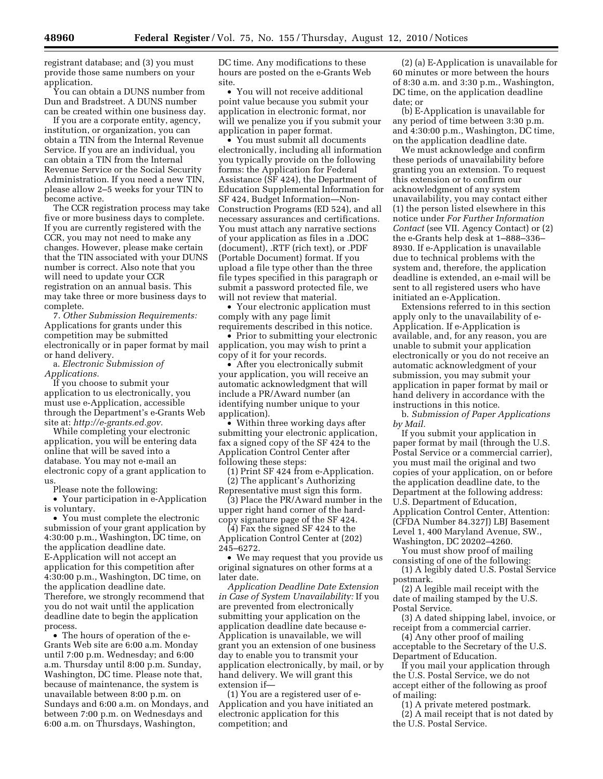registrant database; and (3) you must provide those same numbers on your application.

You can obtain a DUNS number from Dun and Bradstreet. A DUNS number can be created within one business day.

If you are a corporate entity, agency, institution, or organization, you can obtain a TIN from the Internal Revenue Service. If you are an individual, you can obtain a TIN from the Internal Revenue Service or the Social Security Administration. If you need a new TIN, please allow 2–5 weeks for your TIN to become active.

The CCR registration process may take five or more business days to complete. If you are currently registered with the CCR, you may not need to make any changes. However, please make certain that the TIN associated with your DUNS number is correct. Also note that you will need to update your CCR registration on an annual basis. This may take three or more business days to complete.

7. *Other Submission Requirements:*  Applications for grants under this competition may be submitted electronically or in paper format by mail or hand delivery.

a. *Electronic Submission of Applications.* 

If you choose to submit your application to us electronically, you must use e-Application, accessible through the Department's e-Grants Web site at: *[http://e-grants.ed.gov.](http://e-grants.ed.gov)* 

While completing your electronic application, you will be entering data online that will be saved into a database. You may not e-mail an electronic copy of a grant application to us.

Please note the following:

• Your participation in e-Application is voluntary.

• You must complete the electronic submission of your grant application by 4:30:00 p.m., Washington, DC time, on the application deadline date. E-Application will not accept an application for this competition after 4:30:00 p.m., Washington, DC time, on the application deadline date. Therefore, we strongly recommend that you do not wait until the application deadline date to begin the application process.

• The hours of operation of the e-Grants Web site are 6:00 a.m. Monday until 7:00 p.m. Wednesday; and 6:00 a.m. Thursday until 8:00 p.m. Sunday, Washington, DC time. Please note that, because of maintenance, the system is unavailable between 8:00 p.m. on Sundays and 6:00 a.m. on Mondays, and between 7:00 p.m. on Wednesdays and 6:00 a.m. on Thursdays, Washington,

DC time. Any modifications to these hours are posted on the e-Grants Web site.

• You will not receive additional point value because you submit your application in electronic format, nor will we penalize you if you submit your application in paper format.

• You must submit all documents electronically, including all information you typically provide on the following forms: the Application for Federal Assistance (SF 424), the Department of Education Supplemental Information for SF 424, Budget Information—Non-Construction Programs (ED 524), and all necessary assurances and certifications. You must attach any narrative sections of your application as files in a .DOC (document), .RTF (rich text), or .PDF (Portable Document) format. If you upload a file type other than the three file types specified in this paragraph or submit a password protected file, we will not review that material.

• Your electronic application must comply with any page limit requirements described in this notice.

• Prior to submitting your electronic application, you may wish to print a copy of it for your records.

• After you electronically submit your application, you will receive an automatic acknowledgment that will include a PR/Award number (an identifying number unique to your application).

• Within three working days after submitting your electronic application, fax a signed copy of the SF 424 to the Application Control Center after following these steps:

(1) Print SF 424 from e-Application. (2) The applicant's Authorizing

Representative must sign this form. (3) Place the PR/Award number in the

upper right hand corner of the hardcopy signature page of the SF 424.

(4) Fax the signed SF 424 to the Application Control Center at (202) 245–6272.

• We may request that you provide us original signatures on other forms at a later date.

*Application Deadline Date Extension in Case of System Unavailability:* If you are prevented from electronically submitting your application on the application deadline date because e-Application is unavailable, we will grant you an extension of one business day to enable you to transmit your application electronically, by mail, or by hand delivery. We will grant this extension if—

(1) You are a registered user of e-Application and you have initiated an electronic application for this competition; and

(2) (a) E-Application is unavailable for 60 minutes or more between the hours of 8:30 a.m. and 3:30 p.m., Washington, DC time, on the application deadline date; or

(b) E-Application is unavailable for any period of time between 3:30 p.m. and 4:30:00 p.m., Washington, DC time, on the application deadline date.

We must acknowledge and confirm these periods of unavailability before granting you an extension. To request this extension or to confirm our acknowledgment of any system unavailability, you may contact either (1) the person listed elsewhere in this notice under *For Further Information Contact* (see VII. Agency Contact) or  $(2)$ the e-Grants help desk at 1–888–336– 8930. If e-Application is unavailable due to technical problems with the system and, therefore, the application deadline is extended, an e-mail will be sent to all registered users who have initiated an e-Application.

Extensions referred to in this section apply only to the unavailability of e-Application. If e-Application is available, and, for any reason, you are unable to submit your application electronically or you do not receive an automatic acknowledgment of your submission, you may submit your application in paper format by mail or hand delivery in accordance with the instructions in this notice.

b. *Submission of Paper Applications by Mail.* 

If you submit your application in paper format by mail (through the U.S. Postal Service or a commercial carrier), you must mail the original and two copies of your application, on or before the application deadline date, to the Department at the following address: U.S. Department of Education, Application Control Center, Attention: (CFDA Number 84.327J) LBJ Basement Level 1, 400 Maryland Avenue, SW., Washington, DC 20202–4260.

You must show proof of mailing consisting of one of the following:

(1) A legibly dated U.S. Postal Service postmark.

(2) A legible mail receipt with the date of mailing stamped by the U.S. Postal Service.

(3) A dated shipping label, invoice, or receipt from a commercial carrier.

(4) Any other proof of mailing acceptable to the Secretary of the U.S. Department of Education.

If you mail your application through the U.S. Postal Service, we do not accept either of the following as proof of mailing:

(1) A private metered postmark. (2) A mail receipt that is not dated by

the U.S. Postal Service.